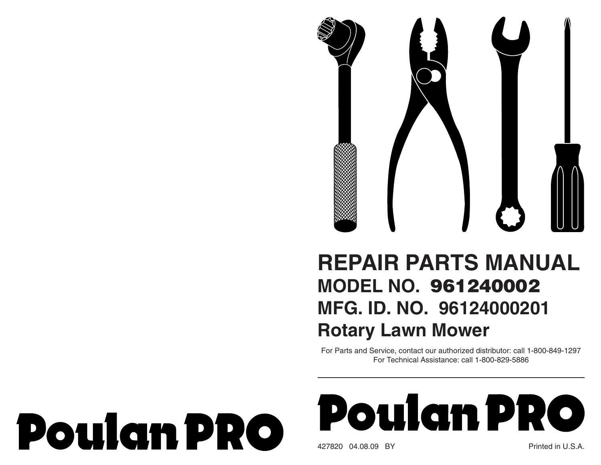

## **REPAIR PARTS MANUAL MODEL NO. 961240002MFG. ID. NO. 96124000201Rotary Lawn Mower**

For Parts and Service, contact our authorized distributor: call 1-800-849-1297 For Technical Assistance: call 1-800-829-5886

## **Poulan PRO**



427820 04.08.09 BY Printed in U.S.A.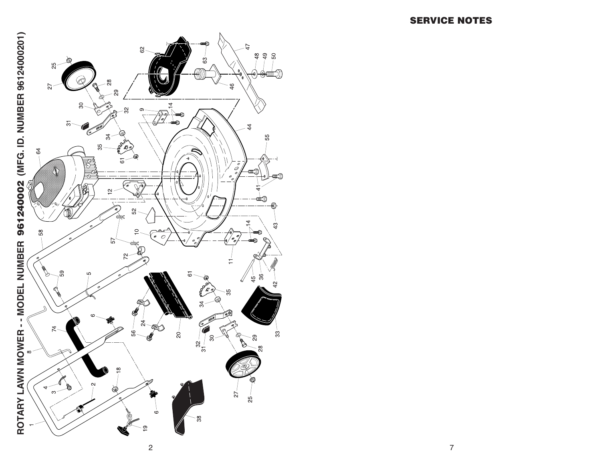

್ಷ

 $\circ$ 

 $33$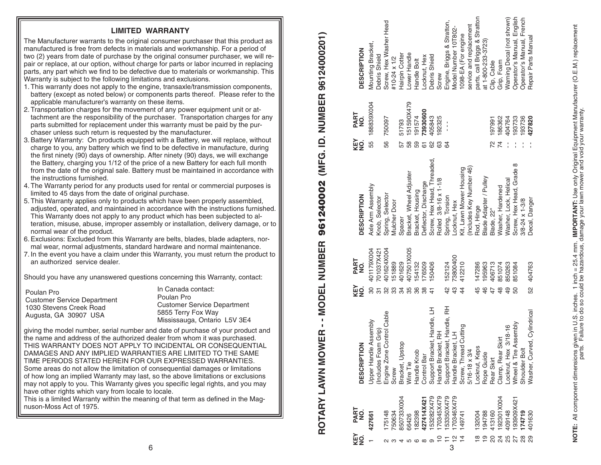## **LIMITED WARRANTY**

The Manufacturer warrants to the original consumer purchaser that this product as manufactured is free from defects in materials and workmanship. For a period of two (2) years from date of purchase by the original consumer purchaser, we will repair or replace, at our option, without charge for parts or labor incurred in replacing parts, any part which we find to be defective due to materials or workmanship. This Warranty is subject to the following limitations and exclusions.

- 1. This warranty does not apply to the engine, transaxle/transmission components, battery (except as noted below) or components parts thereof. Please refer to the applicable manufacturer's warranty on these items.
- 2. Transportation charges for the movement of any power equipment unit or attach ment are the responsibility of the purchaser. Transportation charges for any parts sub mitted for replacement under this warranty must be paid by the purchaser unless such return is requested by the manufacturer.
- 3. Battery Warranty: On products equipped with a Battery, we will replace, without charge to you, any battery which we find to be defective in manufacture, during the first ninety (90) days of ownership. After ninety (90) days, we will exchange the Battery, charging you 1/12 of the price of a new Battery for each full month from the date of the original sale. Battery must be maintained in accordance with the instructions furnished.
- 4. The Warranty period for any products used for rental or commercial purposes is limited to 45 days from the date of original purchase.
- 5. This Warranty applies only to products which have been properly assembled, adjusted, operated, and maintained in accordance with the instructions furnished. This Warranty does not apply to any product which has been subjected to alteration, misuse, abuse, improper assembly or installation, delivery damage, or to normal wear of the product.
- 6. Exclusions: Excluded from this Warranty are belts, blades, blade adapters, normal wear, normal adjustments, standard hardware and normal maintenance.
- 7. In the event you have a claim under this Warranty, you must return the product to an authorized service dealer.

Should you have any unanswered questions concerning this Warranty, contact:

| Poulan Pro                         |
|------------------------------------|
| <b>Customer Service Department</b> |
| 1030 Stevens Creek Road            |
| Augusta, GA 30907 USA              |

In Canada contact:Poulan ProCustomer Service Department 5855 Terry Fox Way Mississauga, Ontario L5V 3E4

giving the model number, serial number and date of purchase of your product and the name and address of the authorized dealer from whom it was purchased. THIS WARRANTY DOES NOT APPLY TO INCIDENTAL OR CONSEQUENTIAL DAMAGES AND ANY IMPLIED WARRANTIES ARE LIMITED TO THE SAME TIME PERIODS STATED HEREIN FOR OUR EXPRESSED WARRANTIES. Some areas do not allow the limitation of consequential damages or limitations of how long an implied Warranty may last, so the above limitations or exclusions may not apply to you. This Warranty gives you specific legal rights, and you may have other rights which vary from locale to locale.

This is a limited Warranty within the meaning of that term as defined in the Magnuson-Moss Act of 1975.

(MFG. ID. NUMBER 96124000201) **ROTARY LAWN MOWER - - MODEL NUMBER 961240002 (MFG. ID. NUMBER 96124000201)** 961240002 - MODEL NUMBER  $\mathbf{r}$ ROTARY LAWN MOWER

| Screw, Hex Head, Threaded<br>Screw, Hex Head, Grade 8<br>(Includes Key Number 46)<br>Kit, Lawn Mower Housing<br>Bracket, Wheel Adjuster<br>Blade Adapter / Pulley<br>Rolled 3/8-16 x 1-1/8<br>Washer, Lock, Helical<br>Deflector, Discharge<br>Washer, Hardened<br>Bracket, Housing<br>Spring, Torsion<br><b>Mulcher Door</b><br>Locknut, Hex<br>Rod, Hinge<br>Blade, 22"<br>Spacer | 407501X005<br>401179X004<br>401624X004<br>701037X421<br>73800400<br>PART<br>NO.<br>412210<br>150406<br>147286<br>151889<br>401629<br>195963<br>406713<br>154132<br>176509<br>152124<br>851074<br>850263<br>851084<br>43<br>KEY<br>NO.<br>45<br>46<br>$\frac{4}{4}$<br>$\frac{2}{3}$<br>30<br>32<br>34<br>35<br>36<br>$\overline{47}$<br>48<br>49<br>50<br>33<br>38<br>$\frac{4}{5}$ | Support Bracket, Handle, RH<br>Support Bracket, Handle, LH<br>(Includes Foam Grip)<br>Engine Zone Control Cable<br>Upper Handle Assembly<br>Assembly<br>Handle Bracket, LH<br>Screw, Thread Cutting<br>$3/18 - 16$<br>Handle Bracket, RH<br>Clamp, Rear Skirt<br>Bracket, Upstop<br><b>DESCRIPTION</b><br>Locknut, Keps<br>Wheel & Tire<br>5/16-18 x 3/4<br>-ocknut, Hex<br>Handle Knob<br>Rope Guide<br>Control Bar<br>Rear Skirt<br>Wire Tie<br>Screw |
|-------------------------------------------------------------------------------------------------------------------------------------------------------------------------------------------------------------------------------------------------------------------------------------------------------------------------------------------------------------------------------------|-------------------------------------------------------------------------------------------------------------------------------------------------------------------------------------------------------------------------------------------------------------------------------------------------------------------------------------------------------------------------------------|---------------------------------------------------------------------------------------------------------------------------------------------------------------------------------------------------------------------------------------------------------------------------------------------------------------------------------------------------------------------------------------------------------------------------------------------------------|
| Decal, Danger<br>$3/8 - 24 \times 1 - 3/8$                                                                                                                                                                                                                                                                                                                                          | 52 404763                                                                                                                                                                                                                                                                                                                                                                           | Washer, Curved, Cylindrical<br>Shoulder Bolt                                                                                                                                                                                                                                                                                                                                                                                                            |